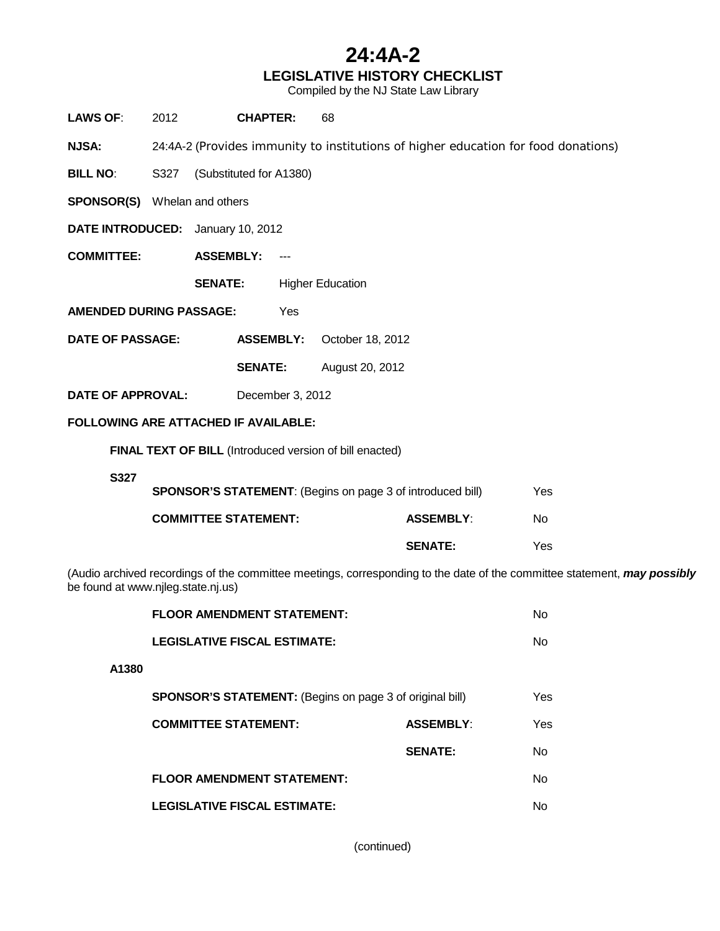### **24:4A-2 LEGISLATIVE HISTORY CHECKLIST**

Compiled by the NJ State Law Library

| <b>LAWS OF:</b>                                                                                                                                                | 2012                                                                               | <b>CHAPTER:</b>                     |                     | 68                                                      |                  |  |           |  |  |
|----------------------------------------------------------------------------------------------------------------------------------------------------------------|------------------------------------------------------------------------------------|-------------------------------------|---------------------|---------------------------------------------------------|------------------|--|-----------|--|--|
| <b>NJSA:</b>                                                                                                                                                   | 24:4A-2 (Provides immunity to institutions of higher education for food donations) |                                     |                     |                                                         |                  |  |           |  |  |
| <b>BILL NO:</b>                                                                                                                                                | S327                                                                               | (Substituted for A1380)             |                     |                                                         |                  |  |           |  |  |
|                                                                                                                                                                |                                                                                    | <b>SPONSOR(S)</b> Whelan and others |                     |                                                         |                  |  |           |  |  |
| DATE INTRODUCED: January 10, 2012                                                                                                                              |                                                                                    |                                     |                     |                                                         |                  |  |           |  |  |
| <b>COMMITTEE:</b>                                                                                                                                              |                                                                                    | <b>ASSEMBLY:</b>                    | $\qquad \qquad - -$ |                                                         |                  |  |           |  |  |
|                                                                                                                                                                |                                                                                    | <b>SENATE:</b>                      |                     | <b>Higher Education</b>                                 |                  |  |           |  |  |
| <b>AMENDED DURING PASSAGE:</b>                                                                                                                                 |                                                                                    |                                     | Yes                 |                                                         |                  |  |           |  |  |
| <b>DATE OF PASSAGE:</b>                                                                                                                                        |                                                                                    |                                     | <b>ASSEMBLY:</b>    | October 18, 2012                                        |                  |  |           |  |  |
|                                                                                                                                                                |                                                                                    | <b>SENATE:</b>                      |                     | August 20, 2012                                         |                  |  |           |  |  |
| <b>DATE OF APPROVAL:</b>                                                                                                                                       |                                                                                    |                                     | December 3, 2012    |                                                         |                  |  |           |  |  |
| <b>FOLLOWING ARE ATTACHED IF AVAILABLE:</b>                                                                                                                    |                                                                                    |                                     |                     |                                                         |                  |  |           |  |  |
|                                                                                                                                                                |                                                                                    |                                     |                     | FINAL TEXT OF BILL (Introduced version of bill enacted) |                  |  |           |  |  |
| S327                                                                                                                                                           |                                                                                    |                                     |                     |                                                         |                  |  |           |  |  |
| <b>SPONSOR'S STATEMENT:</b> (Begins on page 3 of introduced bill)                                                                                              |                                                                                    |                                     |                     |                                                         |                  |  | Yes       |  |  |
|                                                                                                                                                                |                                                                                    | <b>COMMITTEE STATEMENT:</b>         |                     |                                                         | <b>ASSEMBLY:</b> |  | <b>No</b> |  |  |
|                                                                                                                                                                |                                                                                    |                                     |                     |                                                         | <b>SENATE:</b>   |  | Yes       |  |  |
| (Audio archived recordings of the committee meetings, corresponding to the date of the committee statement, may possibly<br>be found at www.njleg.state.nj.us) |                                                                                    |                                     |                     |                                                         |                  |  |           |  |  |
|                                                                                                                                                                | <b>FLOOR AMENDMENT STATEMENT:</b>                                                  |                                     |                     |                                                         |                  |  | No        |  |  |
|                                                                                                                                                                | <b>LEGISLATIVE FISCAL ESTIMATE:</b>                                                |                                     |                     |                                                         |                  |  | No        |  |  |
| A1380                                                                                                                                                          |                                                                                    |                                     |                     |                                                         |                  |  |           |  |  |
|                                                                                                                                                                | <b>SPONSOR'S STATEMENT:</b> (Begins on page 3 of original bill)                    |                                     |                     |                                                         |                  |  | Yes       |  |  |
|                                                                                                                                                                |                                                                                    | <b>COMMITTEE STATEMENT:</b>         |                     |                                                         | <b>ASSEMBLY:</b> |  | Yes       |  |  |
|                                                                                                                                                                |                                                                                    |                                     |                     |                                                         | <b>SENATE:</b>   |  | No        |  |  |
| <b>FLOOR AMENDMENT STATEMENT:</b>                                                                                                                              |                                                                                    |                                     |                     |                                                         |                  |  | No        |  |  |
|                                                                                                                                                                | <b>LEGISLATIVE FISCAL ESTIMATE:</b>                                                |                                     |                     |                                                         |                  |  | No        |  |  |

(continued)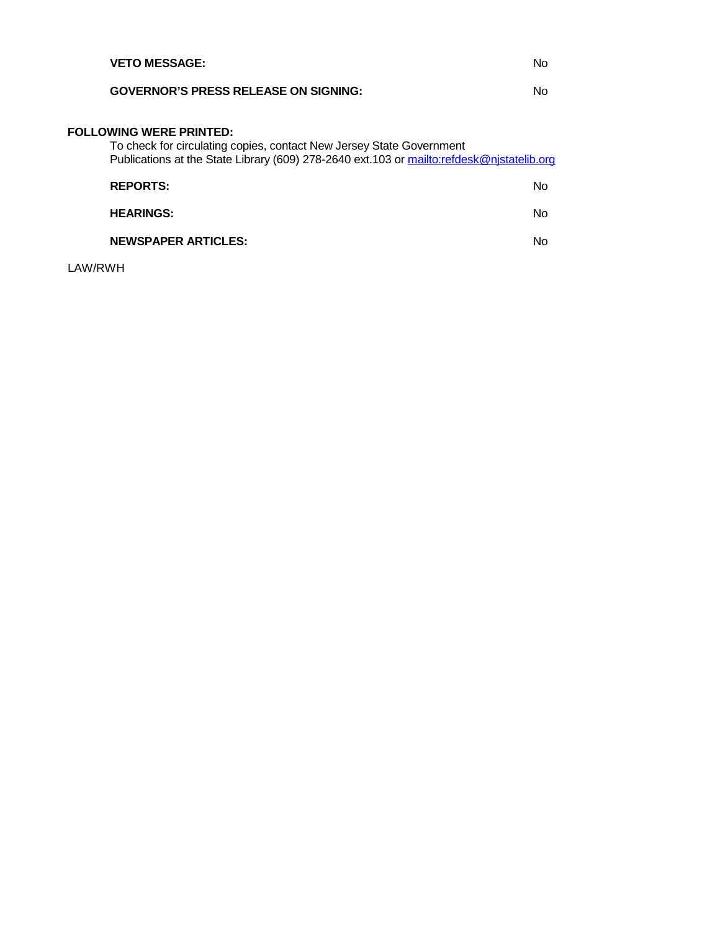| <b>VETO MESSAGE:</b>                                                                                                                                                                                | N٥ |
|-----------------------------------------------------------------------------------------------------------------------------------------------------------------------------------------------------|----|
| <b>GOVERNOR'S PRESS RELEASE ON SIGNING:</b>                                                                                                                                                         | No |
| <b>FOLLOWING WERE PRINTED:</b><br>To check for circulating copies, contact New Jersey State Government<br>Publications at the State Library (609) 278-2640 ext.103 or mailto:refdesk@njstatelib.org |    |
| <b>REPORTS:</b>                                                                                                                                                                                     | Nο |
| <b>HEARINGS:</b>                                                                                                                                                                                    | No |
| <b>NEWSPAPER ARTICLES:</b>                                                                                                                                                                          | N٥ |

LAW/RWH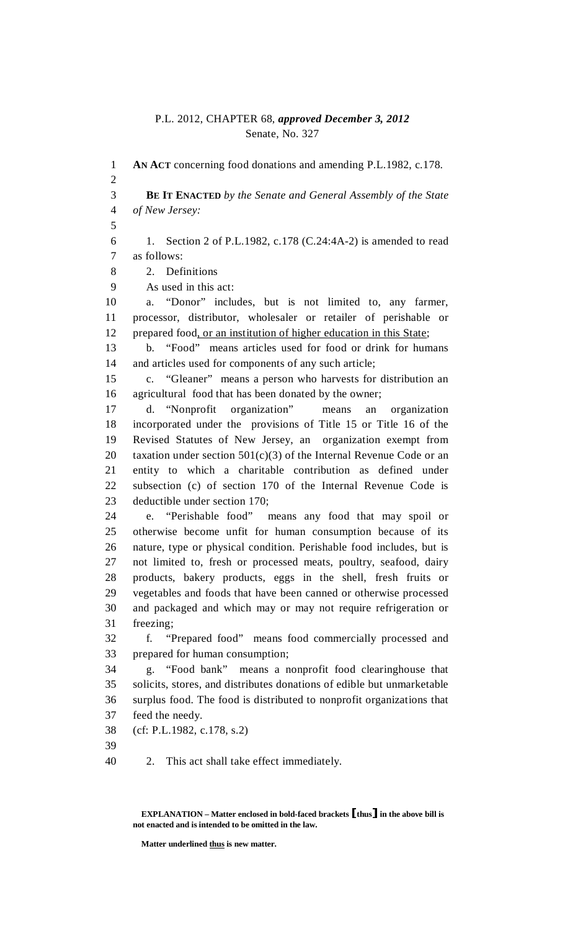#### P.L. 2012, CHAPTER 68, *approved December 3, 2012* Senate, No. 327

1 **AN ACT** concerning food donations and amending P.L.1982, c.178. 2 3 **BE IT ENACTED** *by the Senate and General Assembly of the State*  4 *of New Jersey:* 5 6 1. Section 2 of P.L.1982, c.178 (C.24:4A-2) is amended to read 7 as follows: 8 2. Definitions 9 As used in this act: 10 a. "Donor" includes, but is not limited to, any farmer, 11 processor, distributor, wholesaler or retailer of perishable or 12 prepared food, or an institution of higher education in this State; 13 b. "Food" means articles used for food or drink for humans 14 and articles used for components of any such article; 15 c. "Gleaner" means a person who harvests for distribution an 16 agricultural food that has been donated by the owner; 17 d. "Nonprofit organization" means an organization 18 incorporated under the provisions of Title 15 or Title 16 of the 19 Revised Statutes of New Jersey, an organization exempt from 20 taxation under section  $501(c)(3)$  of the Internal Revenue Code or an 21 entity to which a charitable contribution as defined under 22 subsection (c) of section 170 of the Internal Revenue Code is 23 deductible under section 170; 24 e. "Perishable food" means any food that may spoil or 25 otherwise become unfit for human consumption because of its 26 nature, type or physical condition. Perishable food includes, but is 27 not limited to, fresh or processed meats, poultry, seafood, dairy 28 products, bakery products, eggs in the shell, fresh fruits or 29 vegetables and foods that have been canned or otherwise processed 30 and packaged and which may or may not require refrigeration or 31 freezing; 32 f. "Prepared food" means food commercially processed and 33 prepared for human consumption; 34 g. "Food bank" means a nonprofit food clearinghouse that 35 solicits, stores, and distributes donations of edible but unmarketable 36 surplus food. The food is distributed to nonprofit organizations that 37 feed the needy. 38 (cf: P.L.1982, c.178, s.2) 39 40 2. This act shall take effect immediately.

 **EXPLANATION – Matter enclosed in bold-faced brackets** [**thus**] **in the above bill is not enacted and is intended to be omitted in the law.** 

**Matter underlined thus is new matter.**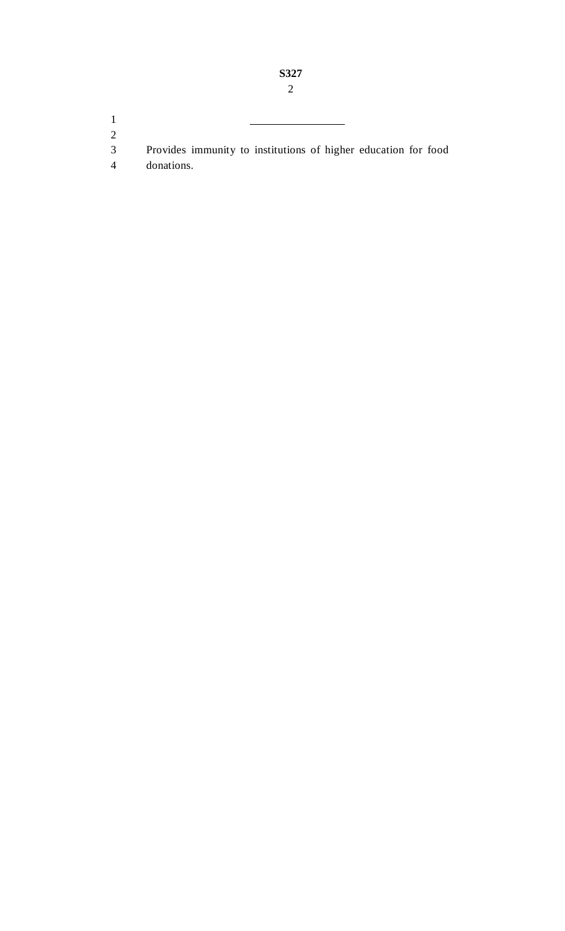1 2

- 3 Provides immunity to institutions of higher education for food
- 4 donations.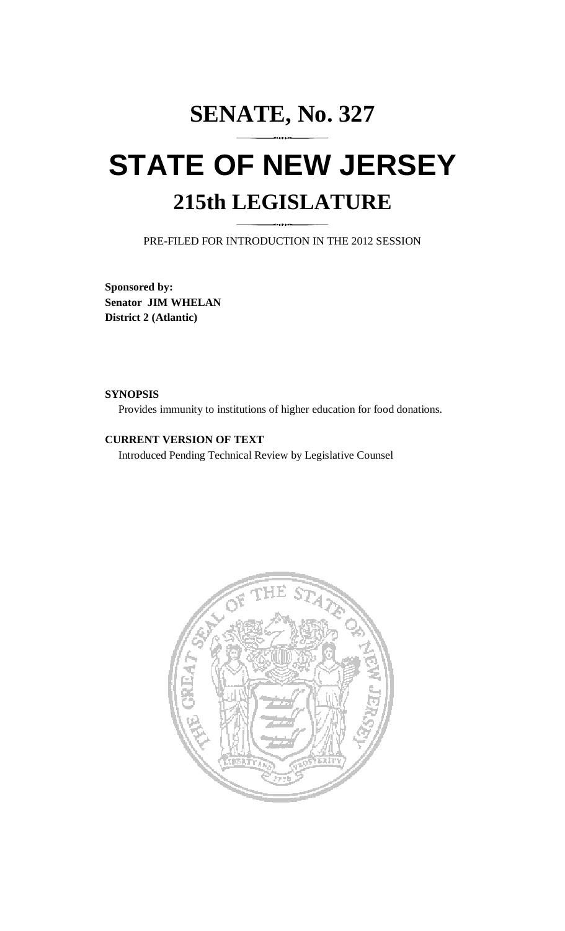# **SENATE, No. 327 STATE OF NEW JERSEY 215th LEGISLATURE**

PRE-FILED FOR INTRODUCTION IN THE 2012 SESSION

**Sponsored by: Senator JIM WHELAN District 2 (Atlantic)** 

#### **SYNOPSIS**

Provides immunity to institutions of higher education for food donations.

#### **CURRENT VERSION OF TEXT**

Introduced Pending Technical Review by Legislative Counsel

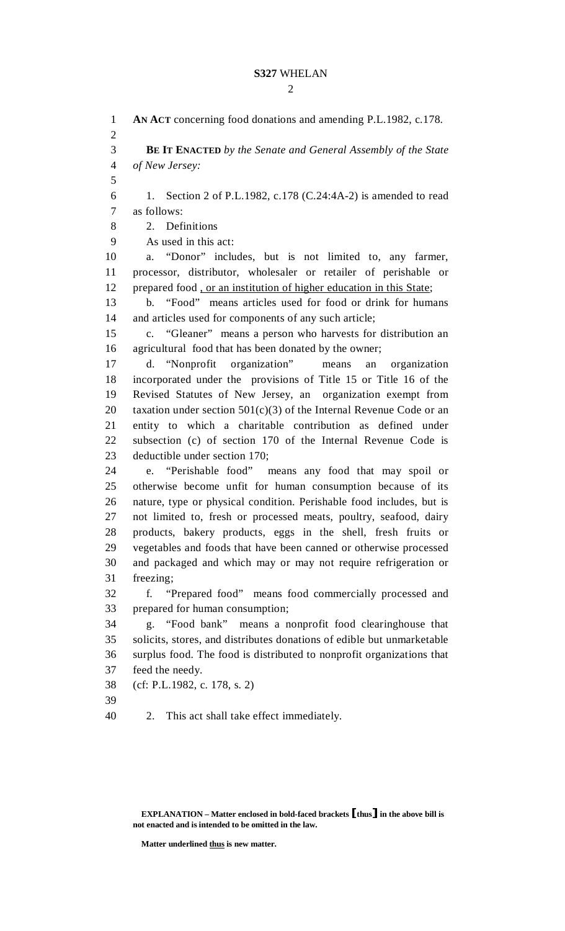1 **AN ACT** concerning food donations and amending P.L.1982, c.178. 2 3 **BE IT ENACTED** *by the Senate and General Assembly of the State*  4 *of New Jersey:* 5 6 1. Section 2 of P.L.1982, c.178 (C.24:4A-2) is amended to read 7 as follows: 8 2. Definitions 9 As used in this act: 10 a. "Donor" includes, but is not limited to, any farmer, 11 processor, distributor, wholesaler or retailer of perishable or 12 prepared food , or an institution of higher education in this State; 13 b. "Food" means articles used for food or drink for humans 14 and articles used for components of any such article; 15 c. "Gleaner" means a person who harvests for distribution an 16 agricultural food that has been donated by the owner; 17 d. "Nonprofit organization" means an organization 18 incorporated under the provisions of Title 15 or Title 16 of the 19 Revised Statutes of New Jersey, an organization exempt from 20 taxation under section  $501(c)(3)$  of the Internal Revenue Code or an 21 entity to which a charitable contribution as defined under 22 subsection (c) of section 170 of the Internal Revenue Code is 23 deductible under section 170; 24 e. "Perishable food" means any food that may spoil or 25 otherwise become unfit for human consumption because of its 26 nature, type or physical condition. Perishable food includes, but is 27 not limited to, fresh or processed meats, poultry, seafood, dairy 28 products, bakery products, eggs in the shell, fresh fruits or 29 vegetables and foods that have been canned or otherwise processed 30 and packaged and which may or may not require refrigeration or 31 freezing; 32 f. "Prepared food" means food commercially processed and 33 prepared for human consumption; 34 g. "Food bank" means a nonprofit food clearinghouse that 35 solicits, stores, and distributes donations of edible but unmarketable 36 surplus food. The food is distributed to nonprofit organizations that 37 feed the needy. 38 (cf: P.L.1982, c. 178, s. 2) 39 40 2. This act shall take effect immediately.

**Matter underlined thus is new matter.** 

**EXPLANATION – Matter enclosed in bold-faced brackets** [**thus**] **in the above bill is not enacted and is intended to be omitted in the law.**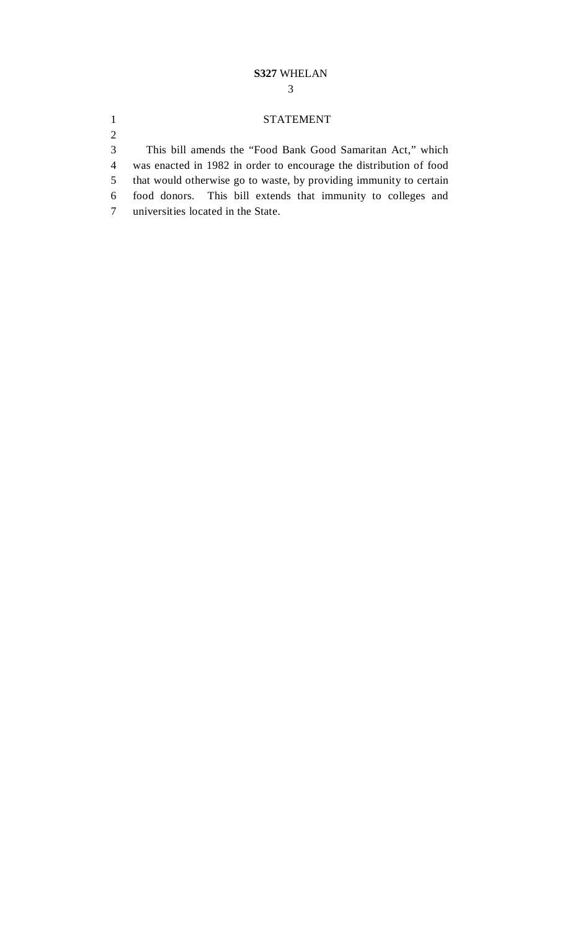#### **S327** WHELAN

#### 1 STATEMENT

3 This bill amends the "Food Bank Good Samaritan Act," which

4 was enacted in 1982 in order to encourage the distribution of food

5 that would otherwise go to waste, by providing immunity to certain

- 6 food donors. This bill extends that immunity to colleges and
- 7 universities located in the State.

2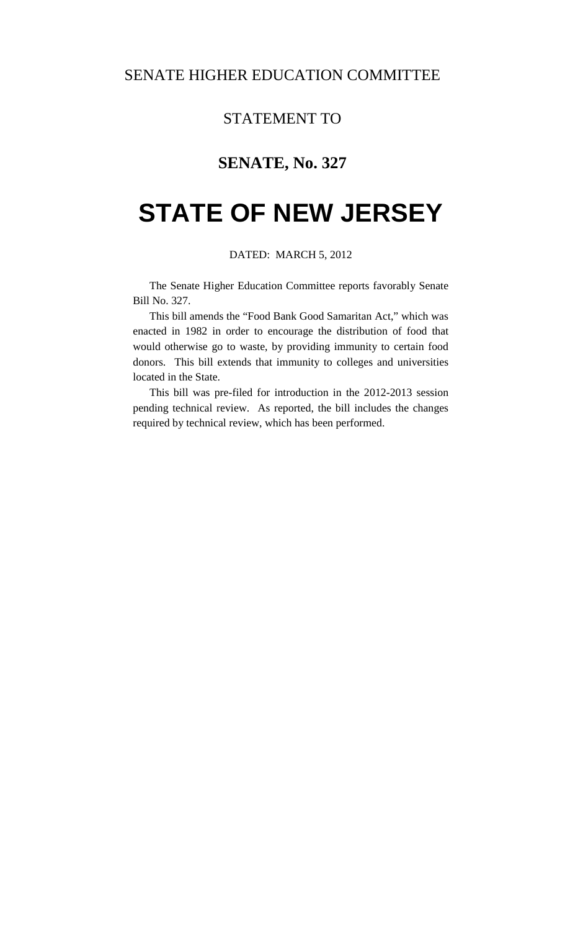## STATEMENT TO

# **SENATE, No. 327**

# **STATE OF NEW JERSEY**

#### DATED: MARCH 5, 2012

 The Senate Higher Education Committee reports favorably Senate Bill No. 327.

 This bill amends the "Food Bank Good Samaritan Act," which was enacted in 1982 in order to encourage the distribution of food that would otherwise go to waste, by providing immunity to certain food donors. This bill extends that immunity to colleges and universities located in the State.

 This bill was pre-filed for introduction in the 2012-2013 session pending technical review. As reported, the bill includes the changes required by technical review, which has been performed.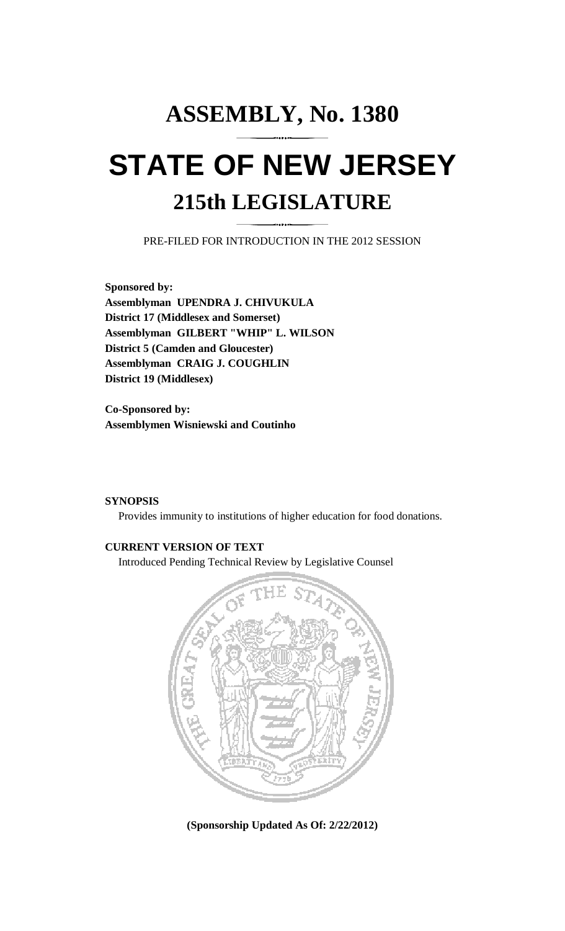# **ASSEMBLY, No. 1380 STATE OF NEW JERSEY 215th LEGISLATURE**

PRE-FILED FOR INTRODUCTION IN THE 2012 SESSION

**Sponsored by: Assemblyman UPENDRA J. CHIVUKULA District 17 (Middlesex and Somerset) Assemblyman GILBERT "WHIP" L. WILSON District 5 (Camden and Gloucester) Assemblyman CRAIG J. COUGHLIN District 19 (Middlesex)** 

**Co-Sponsored by: Assemblymen Wisniewski and Coutinho** 

#### **SYNOPSIS**

Provides immunity to institutions of higher education for food donations.

#### **CURRENT VERSION OF TEXT**

Introduced Pending Technical Review by Legislative Counsel



**(Sponsorship Updated As Of: 2/22/2012)**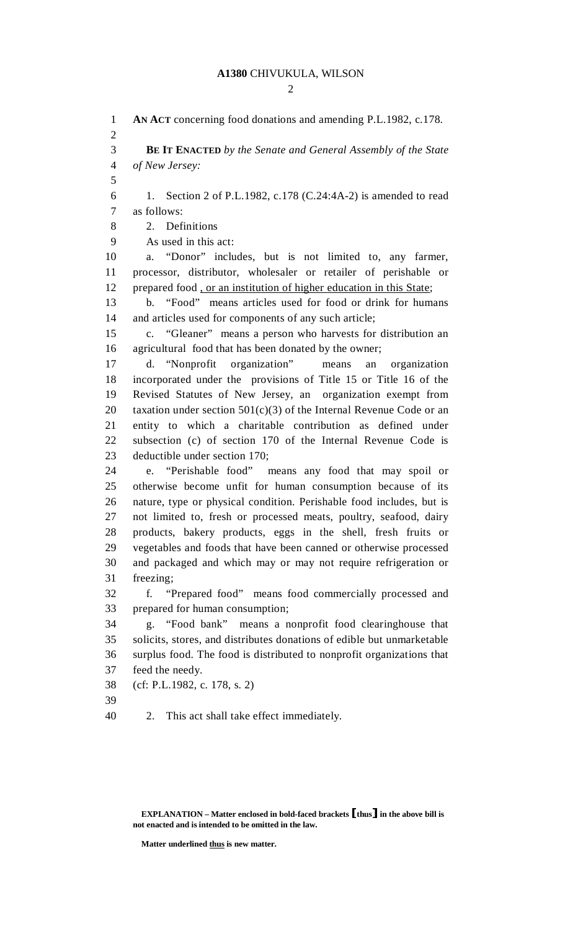$\mathcal{D}$ 

1 **AN ACT** concerning food donations and amending P.L.1982, c.178. 2 3 **BE IT ENACTED** *by the Senate and General Assembly of the State*  4 *of New Jersey:* 5 6 1. Section 2 of P.L.1982, c.178 (C.24:4A-2) is amended to read 7 as follows: 8 2. Definitions 9 As used in this act: 10 a. "Donor" includes, but is not limited to, any farmer, 11 processor, distributor, wholesaler or retailer of perishable or 12 prepared food , or an institution of higher education in this State; 13 b. "Food" means articles used for food or drink for humans 14 and articles used for components of any such article; 15 c. "Gleaner" means a person who harvests for distribution an 16 agricultural food that has been donated by the owner; 17 d. "Nonprofit organization" means an organization 18 incorporated under the provisions of Title 15 or Title 16 of the 19 Revised Statutes of New Jersey, an organization exempt from 20 taxation under section  $501(c)(3)$  of the Internal Revenue Code or an 21 entity to which a charitable contribution as defined under 22 subsection (c) of section 170 of the Internal Revenue Code is 23 deductible under section 170; 24 e. "Perishable food" means any food that may spoil or 25 otherwise become unfit for human consumption because of its 26 nature, type or physical condition. Perishable food includes, but is 27 not limited to, fresh or processed meats, poultry, seafood, dairy 28 products, bakery products, eggs in the shell, fresh fruits or 29 vegetables and foods that have been canned or otherwise processed 30 and packaged and which may or may not require refrigeration or 31 freezing; 32 f. "Prepared food" means food commercially processed and 33 prepared for human consumption; 34 g. "Food bank" means a nonprofit food clearinghouse that 35 solicits, stores, and distributes donations of edible but unmarketable 36 surplus food. The food is distributed to nonprofit organizations that 37 feed the needy. 38 (cf: P.L.1982, c. 178, s. 2) 39 40 2. This act shall take effect immediately.

**Matter underlined thus is new matter.** 

**EXPLANATION – Matter enclosed in bold-faced brackets** [**thus**] **in the above bill is not enacted and is intended to be omitted in the law.**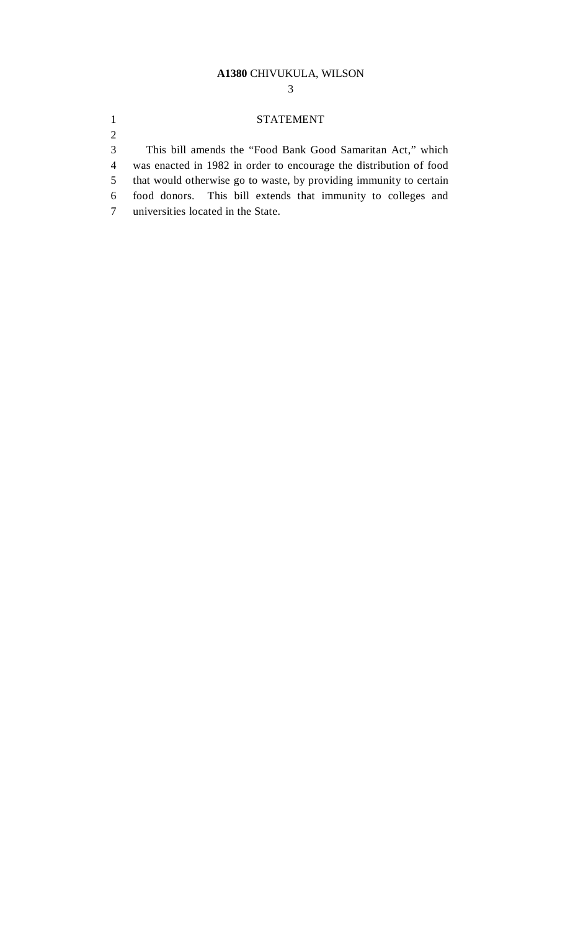#### **A1380** CHIVUKULA, WILSON

3

#### 1 STATEMENT

3 This bill amends the "Food Bank Good Samaritan Act," which

4 was enacted in 1982 in order to encourage the distribution of food

5 that would otherwise go to waste, by providing immunity to certain

- 6 food donors. This bill extends that immunity to colleges and
- 7 universities located in the State.

2